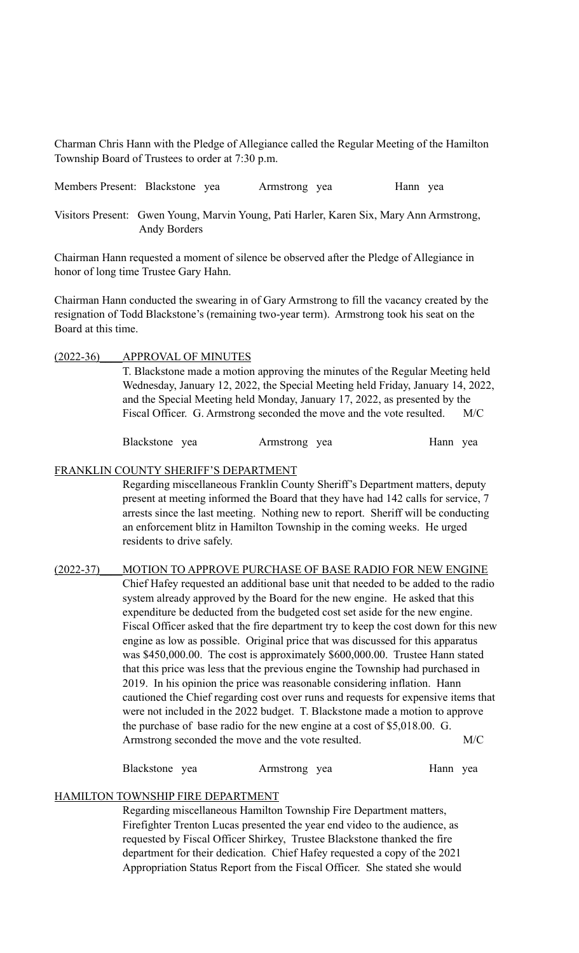Charman Chris Hann with the Pledge of Allegiance called the Regular Meeting of the Hamilton Township Board of Trustees to order at 7:30 p.m.

Members Present: Blackstone yea Armstrong yea Hann yea

Visitors Present: Gwen Young, Marvin Young, Pati Harler, Karen Six, Mary Ann Armstrong, Andy Borders

Chairman Hann requested a moment of silence be observed after the Pledge of Allegiance in honor of long time Trustee Gary Hahn.

Chairman Hann conducted the swearing in of Gary Armstrong to fill the vacancy created by the resignation of Todd Blackstone's (remaining two-year term). Armstrong took his seat on the Board at this time.

### (2022-36)\_\_\_\_APPROVAL OF MINUTES

T. Blackstone made a motion approving the minutes of the Regular Meeting held Wednesday, January 12, 2022, the Special Meeting held Friday, January 14, 2022, and the Special Meeting held Monday, January 17, 2022, as presented by the Fiscal Officer. G. Armstrong seconded the move and the vote resulted. M/C

Blackstone yea Armstrong yea Hann yea

#### FRANKLIN COUNTY SHERIFF'S DEPARTMENT

Regarding miscellaneous Franklin County Sheriff's Department matters, deputy present at meeting informed the Board that they have had 142 calls for service, 7 arrests since the last meeting. Nothing new to report. Sheriff will be conducting an enforcement blitz in Hamilton Township in the coming weeks. He urged residents to drive safely.

(2022-37)\_\_\_\_MOTION TO APPROVE PURCHASE OF BASE RADIO FOR NEW ENGINE Chief Hafey requested an additional base unit that needed to be added to the radio system already approved by the Board for the new engine. He asked that this expenditure be deducted from the budgeted cost set aside for the new engine. Fiscal Officer asked that the fire department try to keep the cost down for this new engine as low as possible. Original price that was discussed for this apparatus was \$450,000.00. The cost is approximately \$600,000.00. Trustee Hann stated that this price was less that the previous engine the Township had purchased in 2019. In his opinion the price was reasonable considering inflation. Hann cautioned the Chief regarding cost over runs and requests for expensive items that were not included in the 2022 budget. T. Blackstone made a motion to approve the purchase of base radio for the new engine at a cost of \$5,018.00. G. Armstrong seconded the move and the vote resulted. M/C

Blackstone yea Armstrong yea Hann yea

#### HAMILTON TOWNSHIP FIRE DEPARTMENT

Regarding miscellaneous Hamilton Township Fire Department matters, Firefighter Trenton Lucas presented the year end video to the audience, as requested by Fiscal Officer Shirkey, Trustee Blackstone thanked the fire department for their dedication. Chief Hafey requested a copy of the 2021 Appropriation Status Report from the Fiscal Officer. She stated she would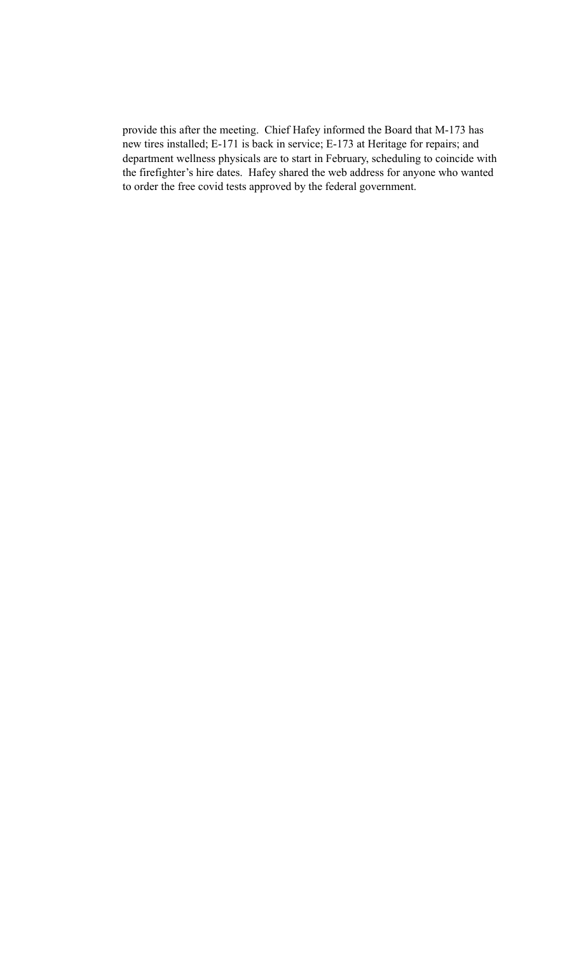provide this after the meeting. Chief Hafey informed the Board that M-173 has new tires installed; E-171 is back in service; E-173 at Heritage for repairs; and department wellness physicals are to start in February, scheduling to coincide with the firefighter's hire dates. Hafey shared the web address for anyone who wanted to order the free covid tests approved by the federal government.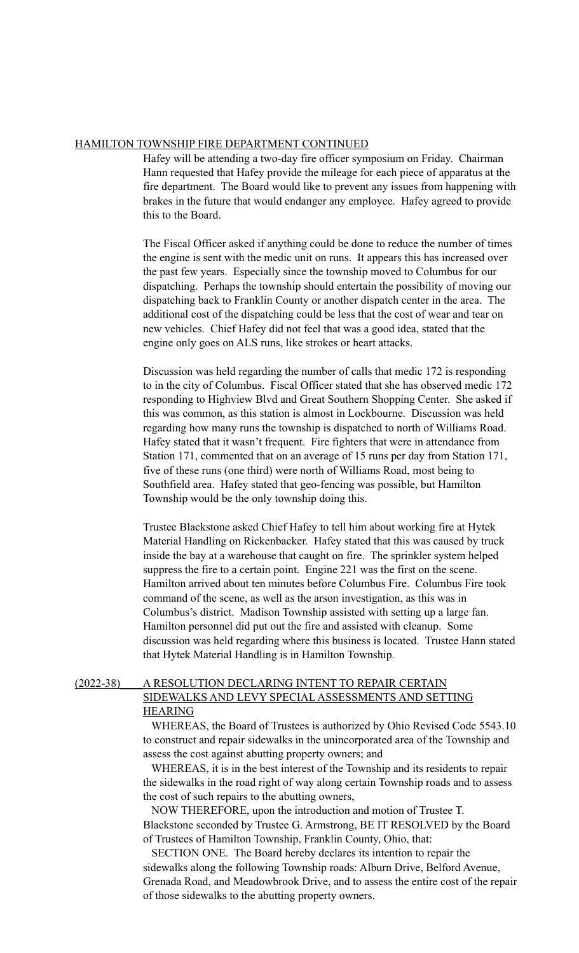#### HAMILTON TOWNSHIP FIRE DEPARTMENT CONTINUED

Hafey will be attending a two-day fire officer symposium on Friday. Chairman Hann requested that Hafey provide the mileage for each piece of apparatus at the fire department. The Board would like to prevent any issues from happening with brakes in the future that would endanger any employee. Hafey agreed to provide this to the Board.

The Fiscal Officer asked if anything could be done to reduce the number of times the engine is sent with the medic unit on runs. It appears this has increased over the past few years. Especially since the township moved to Columbus for our dispatching. Perhaps the township should entertain the possibility of moving our dispatching back to Franklin County or another dispatch center in the area. The additional cost of the dispatching could be less that the cost of wear and tear on new vehicles. Chief Hafey did not feel that was a good idea, stated that the engine only goes on ALS runs, like strokes or heart attacks.

Discussion was held regarding the number of calls that medic 172 is responding to in the city of Columbus. Fiscal Officer stated that she has observed medic 172 responding to Highview Blvd and Great Southern Shopping Center. She asked if this was common, as this station is almost in Lockbourne. Discussion was held regarding how many runs the township is dispatched to north of Williams Road. Hafey stated that it wasn't frequent. Fire fighters that were in attendance from Station 171, commented that on an average of 15 runs per day from Station 171, five of these runs (one third) were north of Williams Road, most being to Southfield area. Hafey stated that geo-fencing was possible, but Hamilton Township would be the only township doing this.

Trustee Blackstone asked Chief Hafey to tell him about working fire at Hytek Material Handling on Rickenbacker. Hafey stated that this was caused by truck inside the bay at a warehouse that caught on fire. The sprinkler system helped suppress the fire to a certain point. Engine 221 was the first on the scene. Hamilton arrived about ten minutes before Columbus Fire. Columbus Fire took command of the scene, as well as the arson investigation, as this was in Columbus's district. Madison Township assisted with setting up a large fan. Hamilton personnel did put out the fire and assisted with cleanup. Some discussion was held regarding where this business is located. Trustee Hann stated that Hytek Material Handling is in Hamilton Township.

#### (2022-38)\_\_\_\_A RESOLUTION DECLARING INTENT TO REPAIR CERTAIN

## SIDEWALKS AND LEVY SPECIAL ASSESSMENTS AND SETTING HEARING

 WHEREAS, the Board of Trustees is authorized by Ohio Revised Code 5543.10 to construct and repair sidewalks in the unincorporated area of the Township and assess the cost against abutting property owners; and

 WHEREAS, it is in the best interest of the Township and its residents to repair the sidewalks in the road right of way along certain Township roads and to assess the cost of such repairs to the abutting owners,

 NOW THEREFORE, upon the introduction and motion of Trustee T. Blackstone seconded by Trustee G. Armstrong, BE IT RESOLVED by the Board of Trustees of Hamilton Township, Franklin County, Ohio, that:

 SECTION ONE. The Board hereby declares its intention to repair the sidewalks along the following Township roads: Alburn Drive, Belford Avenue, Grenada Road, and Meadowbrook Drive, and to assess the entire cost of the repair of those sidewalks to the abutting property owners.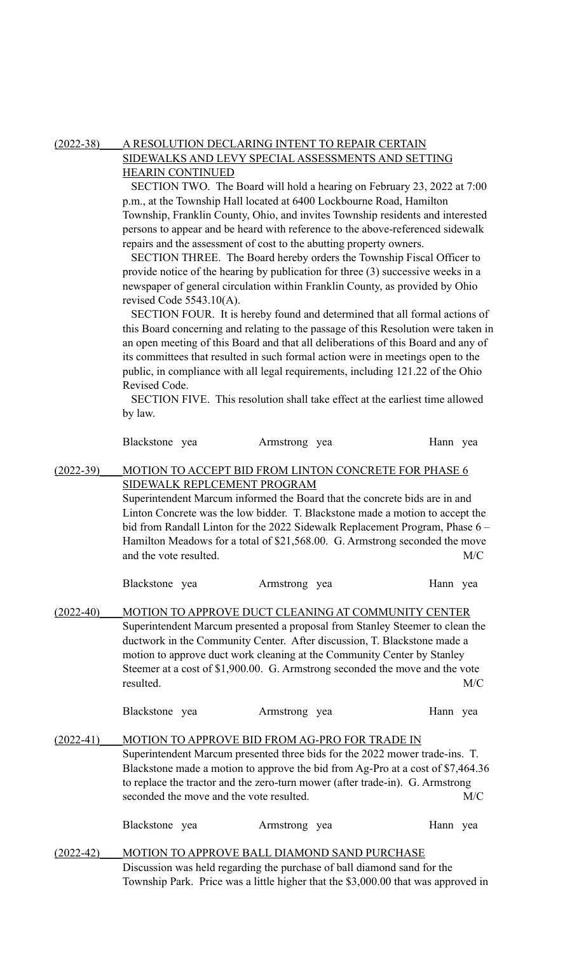### (2022-38)\_\_\_\_A RESOLUTION DECLARING INTENT TO REPAIR CERTAIN SIDEWALKS AND LEVY SPECIAL ASSESSMENTS AND SETTING HEARIN CONTINUED

 SECTION TWO. The Board will hold a hearing on February 23, 2022 at 7:00 p.m., at the Township Hall located at 6400 Lockbourne Road, Hamilton Township, Franklin County, Ohio, and invites Township residents and interested persons to appear and be heard with reference to the above-referenced sidewalk repairs and the assessment of cost to the abutting property owners.

 SECTION THREE. The Board hereby orders the Township Fiscal Officer to provide notice of the hearing by publication for three (3) successive weeks in a newspaper of general circulation within Franklin County, as provided by Ohio revised Code 5543.10(A).

SECTION FOUR. It is hereby found and determined that all formal actions of this Board concerning and relating to the passage of this Resolution were taken in an open meeting of this Board and that all deliberations of this Board and any of its committees that resulted in such formal action were in meetings open to the public, in compliance with all legal requirements, including 121.22 of the Ohio Revised Code.

SECTION FIVE. This resolution shall take effect at the earliest time allowed by law.

| Blackstone yea | Armstrong yea | Hann yea |  |
|----------------|---------------|----------|--|
|                |               |          |  |

#### (2022-39) MOTION TO ACCEPT BID FROM LINTON CONCRETE FOR PHASE 6 SIDEWALK REPLCEMENT PROGRAM

Superintendent Marcum informed the Board that the concrete bids are in and Linton Concrete was the low bidder. T. Blackstone made a motion to accept the bid from Randall Linton for the 2022 Sidewalk Replacement Program, Phase 6 – Hamilton Meadows for a total of \$21,568.00. G. Armstrong seconded the move and the vote resulted. M/C

Blackstone yea Armstrong yea Hann yea

(2022-40) MOTION TO APPROVE DUCT CLEANING AT COMMUNITY CENTER Superintendent Marcum presented a proposal from Stanley Steemer to clean the ductwork in the Community Center. After discussion, T. Blackstone made a motion to approve duct work cleaning at the Community Center by Stanley Steemer at a cost of \$1,900.00. G. Armstrong seconded the move and the vote resulted. M/C

| Blackstone yea | Armstrong yea | Hann yea |
|----------------|---------------|----------|
|                |               |          |

#### (2022-41)\_\_\_\_MOTION TO APPROVE BID FROM AG-PRO FOR TRADE IN

Superintendent Marcum presented three bids for the 2022 mower trade-ins. T. Blackstone made a motion to approve the bid from Ag-Pro at a cost of \$7,464.36 to replace the tractor and the zero-turn mower (after trade-in). G. Armstrong seconded the move and the vote resulted. M/C

| Blackstone yea | Armstrong yea | Hann yea |
|----------------|---------------|----------|
|----------------|---------------|----------|

(2022-42) MOTION TO APPROVE BALL DIAMOND SAND PURCHASE Discussion was held regarding the purchase of ball diamond sand for the Township Park. Price was a little higher that the \$3,000.00 that was approved in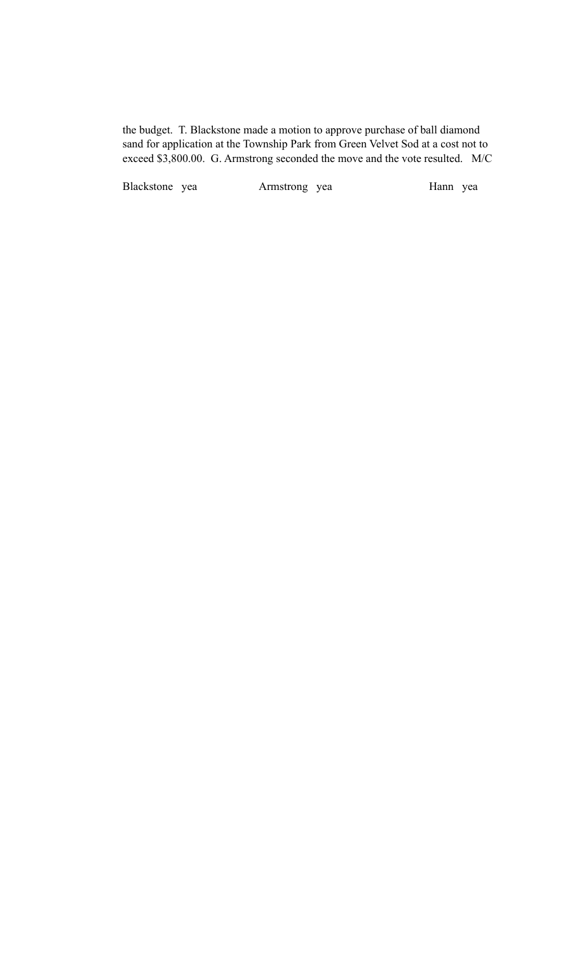the budget. T. Blackstone made a motion to approve purchase of ball diamond sand for application at the Township Park from Green Velvet Sod at a cost not to exceed \$3,800.00. G. Armstrong seconded the move and the vote resulted. M/C

Blackstone yea Armstrong yea Hann yea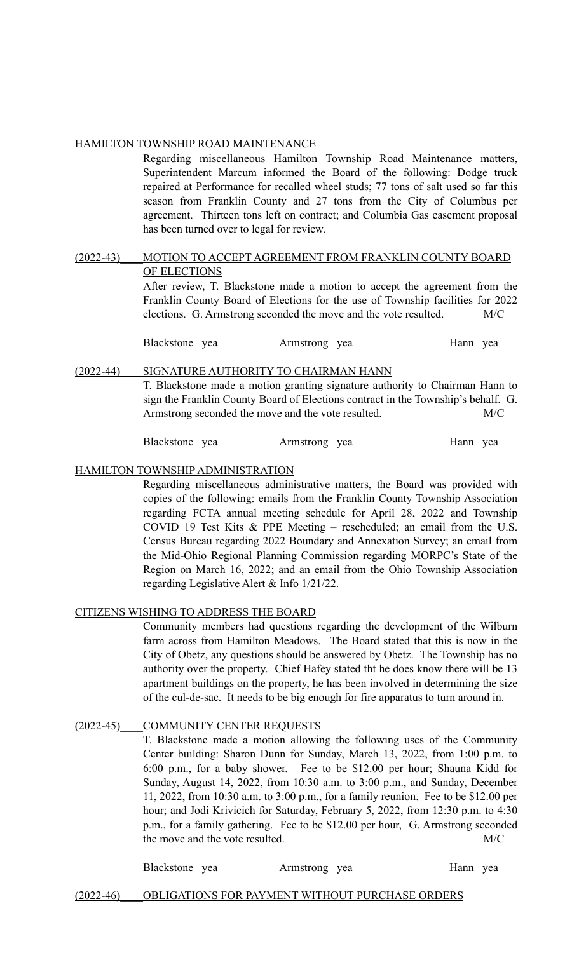### HAMILTON TOWNSHIP ROAD MAINTENANCE

Regarding miscellaneous Hamilton Township Road Maintenance matters, Superintendent Marcum informed the Board of the following: Dodge truck repaired at Performance for recalled wheel studs; 77 tons of salt used so far this season from Franklin County and 27 tons from the City of Columbus per agreement. Thirteen tons left on contract; and Columbia Gas easement proposal has been turned over to legal for review.

#### (2022-43)\_\_\_\_MOTION TO ACCEPT AGREEMENT FROM FRANKLIN COUNTY BOARD OF ELECTIONS

After review, T. Blackstone made a motion to accept the agreement from the Franklin County Board of Elections for the use of Township facilities for 2022 elections. G. Armstrong seconded the move and the vote resulted. M/C

Blackstone yea Armstrong yea Hann yea

#### (2022-44)\_\_\_\_SIGNATURE AUTHORITY TO CHAIRMAN HANN

T. Blackstone made a motion granting signature authority to Chairman Hann to sign the Franklin County Board of Elections contract in the Township's behalf. G. Armstrong seconded the move and the vote resulted. M/C

Blackstone yea Armstrong yea Hann yea

#### HAMILTON TOWNSHIP ADMINISTRATION

Regarding miscellaneous administrative matters, the Board was provided with copies of the following: emails from the Franklin County Township Association regarding FCTA annual meeting schedule for April 28, 2022 and Township COVID 19 Test Kits & PPE Meeting – rescheduled; an email from the U.S. Census Bureau regarding 2022 Boundary and Annexation Survey; an email from the Mid-Ohio Regional Planning Commission regarding MORPC's State of the Region on March 16, 2022; and an email from the Ohio Township Association regarding Legislative Alert & Info 1/21/22.

#### CITIZENS WISHING TO ADDRESS THE BOARD

Community members had questions regarding the development of the Wilburn farm across from Hamilton Meadows. The Board stated that this is now in the City of Obetz, any questions should be answered by Obetz. The Township has no authority over the property. Chief Hafey stated tht he does know there will be 13 apartment buildings on the property, he has been involved in determining the size of the cul-de-sac. It needs to be big enough for fire apparatus to turn around in.

#### (2022-45) COMMUNITY CENTER REQUESTS

T. Blackstone made a motion allowing the following uses of the Community Center building: Sharon Dunn for Sunday, March 13, 2022, from 1:00 p.m. to 6:00 p.m., for a baby shower. Fee to be \$12.00 per hour; Shauna Kidd for Sunday, August 14, 2022, from 10:30 a.m. to 3:00 p.m., and Sunday, December 11, 2022, from 10:30 a.m. to 3:00 p.m., for a family reunion. Fee to be \$12.00 per hour; and Jodi Krivicich for Saturday, February 5, 2022, from 12:30 p.m. to 4:30 p.m., for a family gathering. Fee to be \$12.00 per hour, G. Armstrong seconded the move and the vote resulted. M/C

Blackstone yea Armstrong yea Hann yea

#### (2022-46)\_\_\_\_OBLIGATIONS FOR PAYMENT WITHOUT PURCHASE ORDERS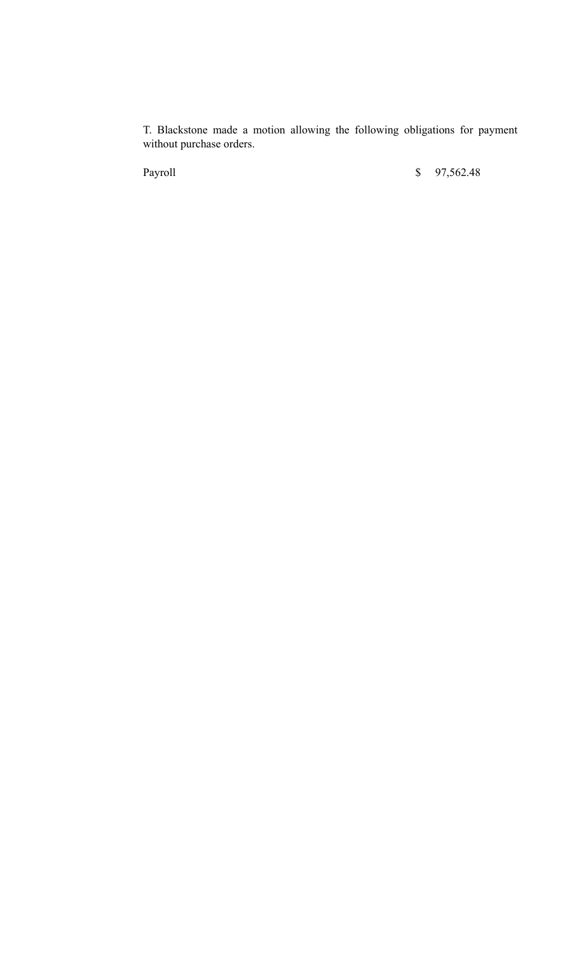T. Blackstone made a motion allowing the following obligations for payment without purchase orders.

Payroll \$ 97,562.48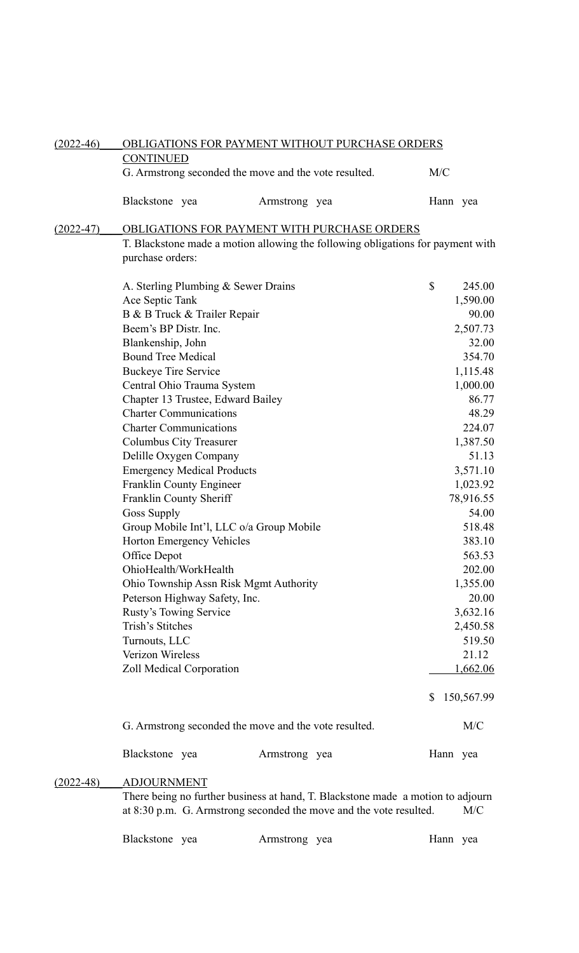| $(2022-46)$   | OBLIGATIONS FOR PAYMENT WITHOUT PURCHASE ORDERS                                 |               |  |          |            |  |
|---------------|---------------------------------------------------------------------------------|---------------|--|----------|------------|--|
|               | <b>CONTINUED</b>                                                                |               |  |          |            |  |
|               | G. Armstrong seconded the move and the vote resulted.                           |               |  | M/C      |            |  |
|               | Blackstone yea                                                                  | Armstrong yea |  | Hann yea |            |  |
| $(2022 - 47)$ | <b>OBLIGATIONS FOR PAYMENT WITH PURCHASE ORDERS</b>                             |               |  |          |            |  |
|               | T. Blackstone made a motion allowing the following obligations for payment with |               |  |          |            |  |
|               | purchase orders:                                                                |               |  |          |            |  |
|               |                                                                                 |               |  | \$       | 245.00     |  |
|               | A. Sterling Plumbing & Sewer Drains<br>Ace Septic Tank                          |               |  |          | 1,590.00   |  |
|               | B & B Truck & Trailer Repair                                                    |               |  |          | 90.00      |  |
|               | Beem's BP Distr. Inc.                                                           |               |  |          | 2,507.73   |  |
|               | Blankenship, John                                                               |               |  |          | 32.00      |  |
|               | <b>Bound Tree Medical</b>                                                       |               |  |          | 354.70     |  |
|               | <b>Buckeye Tire Service</b>                                                     |               |  |          | 1,115.48   |  |
|               | Central Ohio Trauma System                                                      |               |  |          | 1,000.00   |  |
|               | Chapter 13 Trustee, Edward Bailey                                               |               |  |          | 86.77      |  |
|               | <b>Charter Communications</b>                                                   |               |  |          | 48.29      |  |
|               | <b>Charter Communications</b>                                                   |               |  |          | 224.07     |  |
|               | Columbus City Treasurer                                                         |               |  |          | 1,387.50   |  |
|               | Delille Oxygen Company                                                          |               |  |          | 51.13      |  |
|               | <b>Emergency Medical Products</b>                                               |               |  |          | 3,571.10   |  |
|               | Franklin County Engineer                                                        |               |  |          | 1,023.92   |  |
|               | Franklin County Sheriff                                                         |               |  |          | 78,916.55  |  |
|               | <b>Goss Supply</b>                                                              |               |  |          | 54.00      |  |
|               | Group Mobile Int'l, LLC o/a Group Mobile                                        |               |  |          | 518.48     |  |
|               | Horton Emergency Vehicles                                                       |               |  |          | 383.10     |  |
|               | Office Depot                                                                    |               |  |          | 563.53     |  |
|               | OhioHealth/WorkHealth                                                           |               |  |          | 202.00     |  |
|               | Ohio Township Assn Risk Mgmt Authority                                          |               |  |          | 1,355.00   |  |
|               | Peterson Highway Safety, Inc.                                                   |               |  |          | 20.00      |  |
|               | <b>Rusty's Towing Service</b>                                                   |               |  |          | 3,632.16   |  |
|               | Trish's Stitches                                                                |               |  |          | 2,450.58   |  |
|               | Turnouts, LLC                                                                   |               |  |          | 519.50     |  |
|               | <b>Verizon Wireless</b>                                                         |               |  |          | 21.12      |  |
|               | Zoll Medical Corporation                                                        |               |  |          | 1,662.06   |  |
|               |                                                                                 |               |  | \$       | 150,567.99 |  |
|               |                                                                                 |               |  |          |            |  |
|               | G. Armstrong seconded the move and the vote resulted.                           |               |  |          | M/C        |  |
|               | Blackstone yea                                                                  | Armstrong yea |  | Hann yea |            |  |
| $(2022 - 48)$ | <b>ADJOURNMENT</b>                                                              |               |  |          |            |  |
|               | There being no further business at hand, T. Blackstone made a motion to adjourn |               |  |          |            |  |
|               | at 8:30 p.m. G. Armstrong seconded the move and the vote resulted.              |               |  |          | M/C        |  |
|               | Blackstone yea                                                                  | Armstrong yea |  | Hann yea |            |  |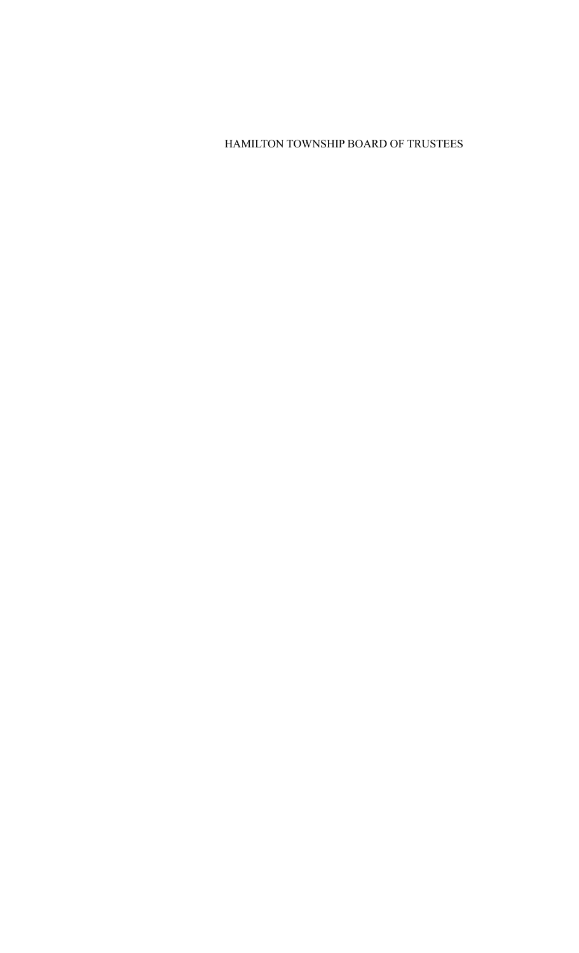# HAMILTON TOWNSHIP BOARD OF TRUSTEES